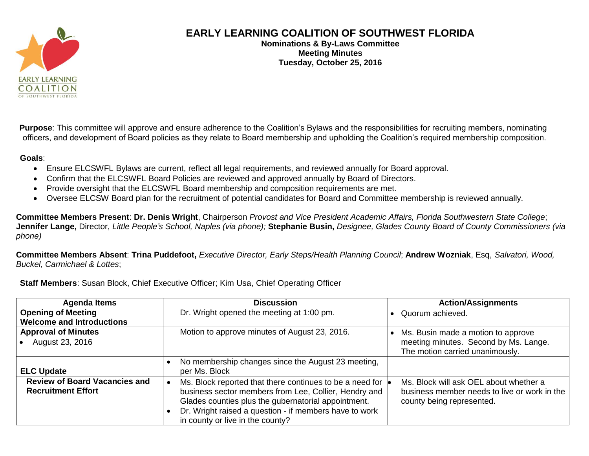

## **EARLY LEARNING COALITION OF SOUTHWEST FLORIDA**

**Nominations & By-Laws Committee Meeting Minutes Tuesday, October 25, 2016**

**Purpose**: This committee will approve and ensure adherence to the Coalition's Bylaws and the responsibilities for recruiting members, nominating officers, and development of Board policies as they relate to Board membership and upholding the Coalition's required membership composition.

## **Goals**:

- Ensure ELCSWFL Bylaws are current, reflect all legal requirements, and reviewed annually for Board approval.
- Confirm that the ELCSWFL Board Policies are reviewed and approved annually by Board of Directors.
- Provide oversight that the ELCSWFL Board membership and composition requirements are met.
- Oversee ELCSW Board plan for the recruitment of potential candidates for Board and Committee membership is reviewed annually.

**Committee Members Present**: **Dr. Denis Wright**, Chairperson *Provost and Vice President Academic Affairs, Florida Southwestern State College*; **Jennifer Lange,** Director, *Little People's School, Naples (via phone);* **Stephanie Busin,** *Designee, Glades County Board of County Commissioners (via phone)*

**Committee Members Absent**: **Trina Puddefoot,** *Executive Director, Early Steps/Health Planning Council*; **Andrew Wozniak**, Esq, *Salvatori, Wood, Buckel, Carmichael & Lottes*;

**Staff Members**: Susan Block, Chief Executive Officer; Kim Usa, Chief Operating Officer

| <b>Agenda Items</b>                                               | <b>Discussion</b>                                                                                                                                                                                                                                                      | <b>Action/Assignments</b>                                                                                           |
|-------------------------------------------------------------------|------------------------------------------------------------------------------------------------------------------------------------------------------------------------------------------------------------------------------------------------------------------------|---------------------------------------------------------------------------------------------------------------------|
| <b>Opening of Meeting</b>                                         | Dr. Wright opened the meeting at 1:00 pm.                                                                                                                                                                                                                              | Quorum achieved.                                                                                                    |
| <b>Welcome and Introductions</b>                                  |                                                                                                                                                                                                                                                                        |                                                                                                                     |
| <b>Approval of Minutes</b><br>August 23, 2016                     | Motion to approve minutes of August 23, 2016.                                                                                                                                                                                                                          | Ms. Busin made a motion to approve<br>meeting minutes. Second by Ms. Lange.<br>The motion carried unanimously.      |
| <b>ELC Update</b>                                                 | No membership changes since the August 23 meeting,<br>per Ms. Block                                                                                                                                                                                                    |                                                                                                                     |
| <b>Review of Board Vacancies and</b><br><b>Recruitment Effort</b> | Ms. Block reported that there continues to be a need for<br>business sector members from Lee, Collier, Hendry and<br>Glades counties plus the gubernatorial appointment.<br>Dr. Wright raised a question - if members have to work<br>in county or live in the county? | Ms. Block will ask OEL about whether a<br>business member needs to live or work in the<br>county being represented. |